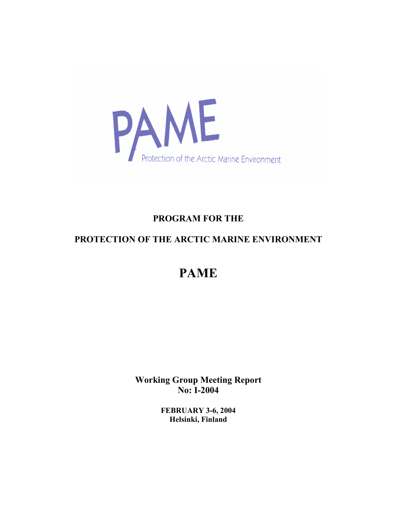

## **PROGRAM FOR THE**

# PROTECTION OF THE ARCTIC MARINE ENVIRONMENT

# **PAME**

**Working Group Meeting Report No: I-2004** 

> **FEBRUARY 3-6, 2004** Helsinki, Finland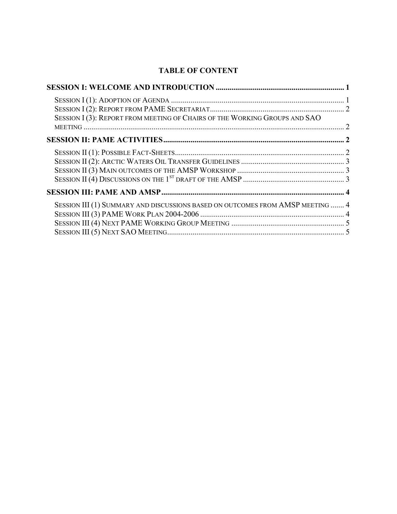### **TABLE OF CONTENT**

| SESSION I (3): REPORT FROM MEETING OF CHAIRS OF THE WORKING GROUPS AND SAO     |  |
|--------------------------------------------------------------------------------|--|
|                                                                                |  |
|                                                                                |  |
|                                                                                |  |
| SESSION III (1) SUMMARY AND DISCUSSIONS BASED ON OUTCOMES FROM AMSP MEETING  4 |  |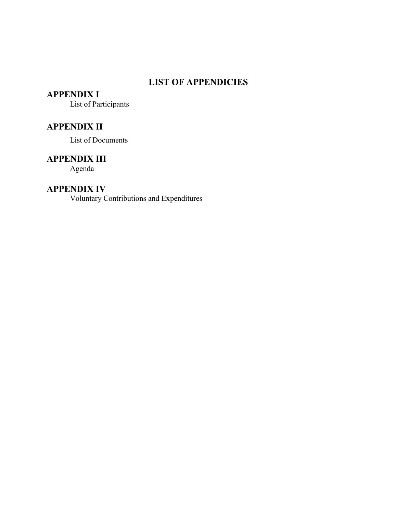### **LIST OF APPENDICIES**

### **APPENDIX I**

List of Participants

### **APPENDIX II**

List of Documents

### **APPENDIX III**

Agenda

### **APPENDIX IV**

Voluntary Contributions and Expenditures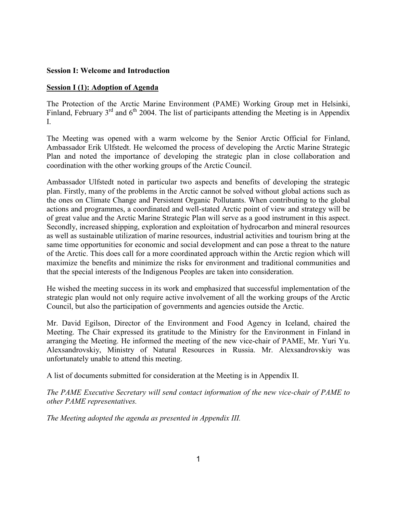#### **Session I: Welcome and Introduction**

#### **Session I (1): Adoption of Agenda**

The Protection of the Arctic Marine Environment (PAME) Working Group met in Helsinki, Finland, February  $3^{rd}$  and  $6^{th}$  2004. The list of participants attending the Meeting is in Appendix  $\mathbf{I}$ 

The Meeting was opened with a warm welcome by the Senior Arctic Official for Finland, Ambassador Erik Ulfstedt. He welcomed the process of developing the Arctic Marine Strategic Plan and noted the importance of developing the strategic plan in close collaboration and coordination with the other working groups of the Arctic Council.

Ambassador Ulfstedt noted in particular two aspects and benefits of developing the strategic plan. Firstly, many of the problems in the Arctic cannot be solved without global actions such as the ones on Climate Change and Persistent Organic Pollutants. When contributing to the global actions and programmes, a coordinated and well-stated Arctic point of view and strategy will be of great value and the Arctic Marine Strategic Plan will serve as a good instrument in this aspect. Secondly, increased shipping, exploration and exploitation of hydrocarbon and mineral resources as well as sustainable utilization of marine resources, industrial activities and tourism bring at the same time opportunities for economic and social development and can pose a threat to the nature of the Arctic. This does call for a more coordinated approach within the Arctic region which will maximize the benefits and minimize the risks for environment and traditional communities and that the special interests of the Indigenous Peoples are taken into consideration.

He wished the meeting success in its work and emphasized that successful implementation of the strategic plan would not only require active involvement of all the working groups of the Arctic Council, but also the participation of governments and agencies outside the Arctic.

Mr. David Egilson, Director of the Environment and Food Agency in Iceland, chaired the Meeting. The Chair expressed its gratitude to the Ministry for the Environment in Finland in arranging the Meeting. He informed the meeting of the new vice-chair of PAME, Mr. Yuri Yu. Alexsandrovskiy, Ministry of Natural Resources in Russia. Mr. Alexsandrovskiy was unfortunately unable to attend this meeting.

A list of documents submitted for consideration at the Meeting is in Appendix II.

The PAME Executive Secretary will send contact information of the new vice-chair of PAME to other PAME representatives.

The Meeting adopted the agenda as presented in Appendix III.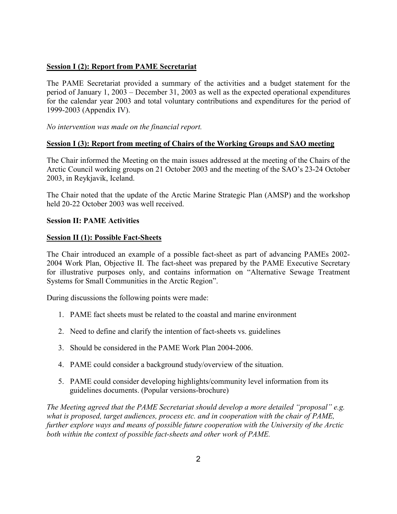#### **Session I (2): Report from PAME Secretariat**

The PAME Secretariat provided a summary of the activities and a budget statement for the period of January 1, 2003 – December 31, 2003 as well as the expected operational expenditures for the calendar year 2003 and total voluntary contributions and expenditures for the period of 1999-2003 (Appendix IV).

No intervention was made on the financial report.

#### Session I (3): Report from meeting of Chairs of the Working Groups and SAO meeting

The Chair informed the Meeting on the main issues addressed at the meeting of the Chairs of the Arctic Council working groups on 21 October 2003 and the meeting of the SAO's 23-24 October 2003, in Reykjavik, Iceland.

The Chair noted that the update of the Arctic Marine Strategic Plan (AMSP) and the workshop held 20-22 October 2003 was well received.

#### **Session II: PAME Activities**

#### **Session II (1): Possible Fact-Sheets**

The Chair introduced an example of a possible fact-sheet as part of advancing PAMEs 2002-2004 Work Plan, Objective II. The fact-sheet was prepared by the PAME Executive Secretary for illustrative purposes only, and contains information on "Alternative Sewage Treatment" Systems for Small Communities in the Arctic Region".

During discussions the following points were made:

- 1. PAME fact sheets must be related to the coastal and marine environment
- 2. Need to define and clarify the intention of fact-sheets vs. guidelines
- 3 Should be considered in the PAME Work Plan 2004-2006
- 4. PAME could consider a background study/overview of the situation.
- 5. PAME could consider developing highlights/community level information from its guidelines documents. (Popular versions-brochure)

The Meeting agreed that the PAME Secretariat should develop a more detailed "proposal" e.g. what is proposed, target audiences, process etc. and in cooperation with the chair of PAME, further explore ways and means of possible future cooperation with the University of the Arctic both within the context of possible fact-sheets and other work of PAME.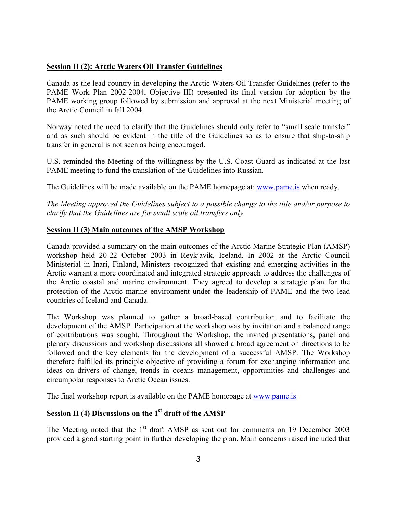#### **Session II (2): Arctic Waters Oil Transfer Guidelines**

Canada as the lead country in developing the Arctic Waters Oil Transfer Guidelines (refer to the PAME Work Plan 2002-2004, Objective III) presented its final version for adoption by the PAME working group followed by submission and approval at the next Ministerial meeting of the Arctic Council in fall 2004.

Norway noted the need to clarify that the Guidelines should only refer to "small scale transfer" and as such should be evident in the title of the Guidelines so as to ensure that ship-to-ship transfer in general is not seen as being encouraged.

U.S. reminded the Meeting of the willingness by the U.S. Coast Guard as indicated at the last PAME meeting to fund the translation of the Guidelines into Russian.

The Guidelines will be made available on the PAME homepage at: www.pame.is when ready.

The Meeting approved the Guidelines subject to a possible change to the title and/or purpose to clarify that the Guidelines are for small scale oil transfers only.

#### **Session II (3) Main outcomes of the AMSP Workshop**

Canada provided a summary on the main outcomes of the Arctic Marine Strategic Plan (AMSP) workshop held 20-22 October 2003 in Reykjavik, Iceland. In 2002 at the Arctic Council Ministerial in Inari, Finland, Ministers recognized that existing and emerging activities in the Arctic warrant a more coordinated and integrated strategic approach to address the challenges of the Arctic coastal and marine environment. They agreed to develop a strategic plan for the protection of the Arctic marine environment under the leadership of PAME and the two lead countries of Iceland and Canada

The Workshop was planned to gather a broad-based contribution and to facilitate the development of the AMSP. Participation at the workshop was by invitation and a balanced range of contributions was sought. Throughout the Workshop, the invited presentations, panel and plenary discussions and workshop discussions all showed a broad agreement on directions to be followed and the key elements for the development of a successful AMSP. The Workshop therefore fulfilled its principle objective of providing a forum for exchanging information and ideas on drivers of change, trends in oceans management, opportunities and challenges and circumpolar responses to Arctic Ocean issues.

The final workshop report is available on the PAME homepage at www.pame.is

#### Session II (4) Discussions on the  $1<sup>st</sup>$  draft of the AMSP

The Meeting noted that the 1<sup>st</sup> draft AMSP as sent out for comments on 19 December 2003 provided a good starting point in further developing the plan. Main concerns raised included that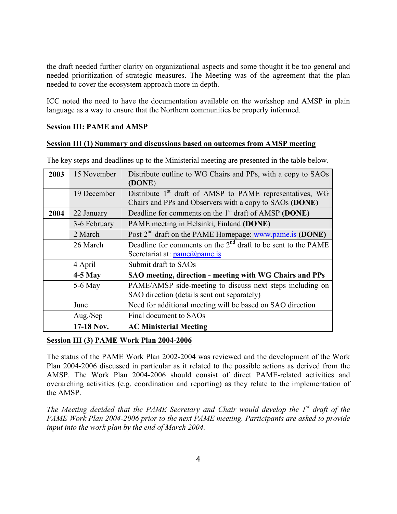the draft needed further clarity on organizational aspects and some thought it be too general and needed prioritization of strategic measures. The Meeting was of the agreement that the plan needed to cover the ecosystem approach more in depth.

ICC noted the need to have the documentation available on the workshop and AMSP in plain language as a way to ensure that the Northern communities be properly informed.

#### **Session III: PAME and AMSP**

#### Session III (1) Summary and discussions based on outcomes from AMSP meeting

| 2003 | 15 November  | Distribute outline to WG Chairs and PPs, with a copy to SAOs<br>(DONE)                                                          |  |
|------|--------------|---------------------------------------------------------------------------------------------------------------------------------|--|
|      | 19 December  | Distribute 1 <sup>st</sup> draft of AMSP to PAME representatives, WG<br>Chairs and PPs and Observers with a copy to SAOs (DONE) |  |
| 2004 | 22 January   | Deadline for comments on the 1 <sup>st</sup> draft of AMSP (DONE)                                                               |  |
|      | 3-6 February | PAME meeting in Helsinki, Finland (DONE)                                                                                        |  |
|      | 2 March      | Post 2 <sup>nd</sup> draft on the PAME Homepage: www.pame.is (DONE)                                                             |  |
|      | 26 March     | Deadline for comments on the $2nd$ draft to be sent to the PAME                                                                 |  |
|      |              | Secretariat at: pame@pame.is                                                                                                    |  |
|      | 4 April      | Submit draft to SAOs                                                                                                            |  |
|      | $4-5$ May    | SAO meeting, direction - meeting with WG Chairs and PPs                                                                         |  |
|      | $5-6$ May    | PAME/AMSP side-meeting to discuss next steps including on<br>SAO direction (details sent out separately)                        |  |
|      | June         | Need for additional meeting will be based on SAO direction                                                                      |  |
|      | Aug./Sep     | Final document to SAOs                                                                                                          |  |
|      | 17-18 Nov.   | <b>AC Ministerial Meeting</b>                                                                                                   |  |

The key steps and deadlines up to the Ministerial meeting are presented in the table below.

#### Session III (3) PAME Work Plan 2004-2006

The status of the PAME Work Plan 2002-2004 was reviewed and the development of the Work Plan 2004-2006 discussed in particular as it related to the possible actions as derived from the AMSP. The Work Plan 2004-2006 should consist of direct PAME-related activities and overarching activities (e.g. coordination and reporting) as they relate to the implementation of the AMSP.

The Meeting decided that the PAME Secretary and Chair would develop the  $I<sup>st</sup>$  draft of the PAME Work Plan 2004-2006 prior to the next PAME meeting. Participants are asked to provide input into the work plan by the end of March 2004.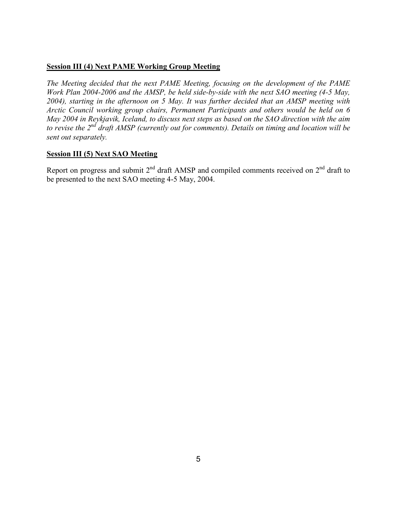#### **Session III (4) Next PAME Working Group Meeting**

The Meeting decided that the next PAME Meeting, focusing on the development of the PAME Work Plan 2004-2006 and the AMSP, be held side-by-side with the next SAO meeting (4-5 May, 2004), starting in the afternoon on 5 May. It was further decided that an AMSP meeting with Arctic Council working group chairs, Permanent Participants and others would be held on 6 May 2004 in Reykjavik, Iceland, to discuss next steps as based on the SAO direction with the aim to revise the  $2^{nd}$  draft AMSP (currently out for comments). Details on timing and location will be sent out separately.

#### **Session III (5) Next SAO Meeting**

Report on progress and submit  $2^{nd}$  draft AMSP and compiled comments received on  $2^{nd}$  draft to be presented to the next SAO meeting 4-5 May, 2004.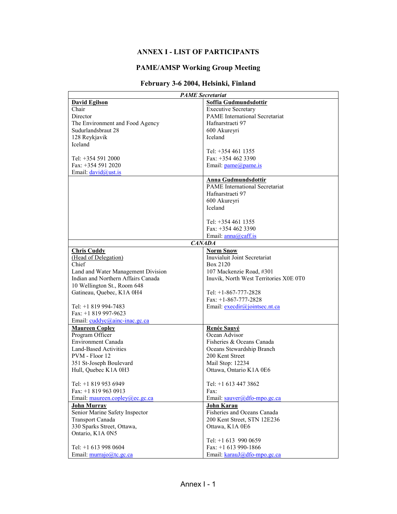### **ANNEX I - LIST OF PARTICIPANTS**

#### **PAME/AMSP Working Group Meeting**

### February 3-6 2004, Helsinki, Finland

| <b>PAME</b> Secretariat            |                                        |  |  |
|------------------------------------|----------------------------------------|--|--|
| <b>David Egilson</b>               | Soffia Gudmundsdottir                  |  |  |
| Chair                              | <b>Executive Secretary</b>             |  |  |
| Director                           | <b>PAME</b> International Secretariat  |  |  |
| The Environment and Food Agency    | Hafnarstraeti 97                       |  |  |
| Sudurlandsbraut 28                 | 600 Akureyri                           |  |  |
| 128 Reykjavik                      | Iceland                                |  |  |
| Iceland                            |                                        |  |  |
|                                    | Tel: +354 461 1355                     |  |  |
| Tel: +354 591 2000                 | Fax: +354 462 3390                     |  |  |
| Fax: +354 591 2020                 | Email: pame@pame.is                    |  |  |
| Email: $david@ust.is$              |                                        |  |  |
|                                    |                                        |  |  |
|                                    | Anna Gudmundsdottir                    |  |  |
|                                    | <b>PAME</b> International Secretariat  |  |  |
|                                    | Hafnarstraeti 97                       |  |  |
|                                    | 600 Akureyri                           |  |  |
|                                    | Iceland                                |  |  |
|                                    |                                        |  |  |
|                                    | Tel: +354 461 1355                     |  |  |
|                                    | Fax: $+3544623390$                     |  |  |
|                                    | Email: $anna@caff.is$                  |  |  |
|                                    | <b>CANADA</b>                          |  |  |
| <b>Chris Cuddy</b>                 | <b>Norm Snow</b>                       |  |  |
| (Head of Delegation)               | Inuvialuit Joint Secretariat           |  |  |
| Chief                              | Box 2120                               |  |  |
| Land and Water Management Division | 107 Mackenzie Road, #301               |  |  |
| Indian and Northern Affairs Canada | Inuvik, North West Territories X0E 0T0 |  |  |
| 10 Wellington St., Room 648        |                                        |  |  |
| Gatineau, Quebec, K1A 0H4          | Tel: $+1-867-777-2828$                 |  |  |
|                                    | Fax: $+1-867-777-2828$                 |  |  |
| Tel: +1 819 994-7483               | Email: $exectir@jointsec.net.ca$       |  |  |
| Fax: +1 819 997-9623               |                                        |  |  |
|                                    |                                        |  |  |
| Email: cuddyc@ainc-inac.gc.ca      |                                        |  |  |
| <b>Maureen Copley</b>              | Renée Sauvé                            |  |  |
| Program Officer                    | Ocean Advisor                          |  |  |
| <b>Environment Canada</b>          | Fisheries & Oceans Canada              |  |  |
| <b>Land-Based Activities</b>       | Oceans Stewardship Branch              |  |  |
| PVM - Floor 12                     | 200 Kent Street                        |  |  |
| 351 St-Joseph Boulevard            | Mail Stop: 12234                       |  |  |
| Hull, Quebec K1A 0H3               | Ottawa, Ontario K1A 0E6                |  |  |
|                                    |                                        |  |  |
| Tel: +1 819 953 6949               | Tel: +1 613 447 3862                   |  |  |
| Fax: $+18199630913$                | Fax:                                   |  |  |
| Email: maureen.copley@ec.gc.ca     | Email: sauver@dfo-mpo.gc.ca            |  |  |
| <b>John Murray</b>                 | <b>John Karau</b>                      |  |  |
| Senior Marine Safety Inspector     | Fisheries and Oceans Canada            |  |  |
| Transport Canada                   | 200 Kent Street, STN 12E236            |  |  |
| 330 Sparks Street, Ottawa,         | Ottawa, K1A 0E6                        |  |  |
| Ontario, K1A 0N5                   |                                        |  |  |
|                                    | Tel: +1 613 990 0659                   |  |  |
| Tel: +1 613 998 0604               | Fax: +1 613 990-1866                   |  |  |
| Email: murrajo@tc.gc.ca            | Email: karauJ@dfo-mpo.gc.ca            |  |  |
|                                    |                                        |  |  |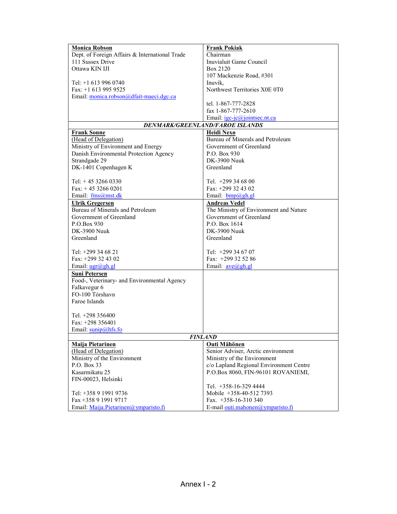| <b>Monica Robson</b>                           | <b>Frank Pokiak</b>                     |  |  |  |
|------------------------------------------------|-----------------------------------------|--|--|--|
| Dept. of Foreign Affairs & International Trade | $\overline{\text{Chairman}}$            |  |  |  |
| 111 Sussex Drive                               | Inuvialuit Game Council                 |  |  |  |
| Ottawa KIN IJI                                 | Box 2120                                |  |  |  |
|                                                | 107 Mackenzie Road, #301                |  |  |  |
| Tel: +1 613 996 0740                           | Inuvik,                                 |  |  |  |
| Fax: $+1$ 613 995 9525                         | Northwest Territories X0E 0T0           |  |  |  |
| Email: monica.robson@dfait-maeci.dgc.ca        |                                         |  |  |  |
|                                                | tel. 1-867-777-2828                     |  |  |  |
|                                                | fax 1-867-777-2610                      |  |  |  |
|                                                | Email: igc-jc@jointsec.nt.ca            |  |  |  |
|                                                | DENMARK/GREENLAND/FAROE ISLANDS         |  |  |  |
| <b>Frank Sonne</b>                             | Heidi Nexø                              |  |  |  |
| (Head of Delegation)                           | Bureau of Minerals and Petroleum        |  |  |  |
| Ministry of Environment and Energy             | Government of Greenland                 |  |  |  |
| Danish Environmental Protection Agency         | P.O. Box 930                            |  |  |  |
| Strandgade 29                                  | <b>DK-3900 Nuuk</b>                     |  |  |  |
| DK-1401 Copenhagen K                           | Greenland                               |  |  |  |
|                                                |                                         |  |  |  |
| Tel: $+4532660330$                             | Tel. $+299346800$                       |  |  |  |
| Fax: $+45$ 3266 0201                           | Fax: +299 32 43 02                      |  |  |  |
| Email: fms@mst.dk                              | Email: <b>bmp</b> @gh.gl                |  |  |  |
| <b>Ulrik Gregersen</b>                         | <b>Andreas Vedel</b>                    |  |  |  |
| Bureau of Minerals and Petroleum               | The Ministry of Environment and Nature  |  |  |  |
| Government of Greenland                        | Government of Greenland                 |  |  |  |
| P.O.Box 930<br>P.O. Box 1614                   |                                         |  |  |  |
| DK-3900 Nuuk<br>DK-3900 Nuuk                   |                                         |  |  |  |
| Greenland                                      | Greenland                               |  |  |  |
|                                                |                                         |  |  |  |
| Tel: +299 34 68 21                             | Tel: +299 34 67 07                      |  |  |  |
| Fax: +299 32 43 02                             | Fax: $+299$ 32 52 86                    |  |  |  |
| Email: ugr@gh.gl                               | Email: <u>ave@gh.gl</u>                 |  |  |  |
| Suni Petersen                                  |                                         |  |  |  |
| Food-, Veterinary- and Environmental Agency    |                                         |  |  |  |
| Falkavegur 6                                   |                                         |  |  |  |
| FO-100 Tórshavn                                |                                         |  |  |  |
| Faroe Islands                                  |                                         |  |  |  |
|                                                |                                         |  |  |  |
| Tel. +298 356400                               |                                         |  |  |  |
| Fax: $+298$ 356401                             |                                         |  |  |  |
| Email: sunip@hfs.fo                            |                                         |  |  |  |
| <b>FINLAND</b>                                 |                                         |  |  |  |
| Maija Pietarinen                               | Outi Mähönen                            |  |  |  |
| (Head of Delegation)                           | Senior Adviser, Arctic environment      |  |  |  |
| Ministry of the Environment                    | Ministry of the Environment             |  |  |  |
| P.O. Box 33                                    | c/o Lapland Regional Environment Centre |  |  |  |
| Kasarmikatu 25                                 | P.O.Box 8060, FIN-96101 ROVANIEMI,      |  |  |  |
| FIN-00023, Helsinki                            |                                         |  |  |  |
|                                                | Tel. +358-16-329 4444                   |  |  |  |
| Tel: +358 9 1991 9736                          | Mobile +358-40-512 7393                 |  |  |  |
| Fax +358 9 1991 9717                           | Fax. $+358-16-310340$                   |  |  |  |
| Email: Maija.Pietarinen@ymparisto.fi           | E-mail outi.mahonen@ymparisto.fi        |  |  |  |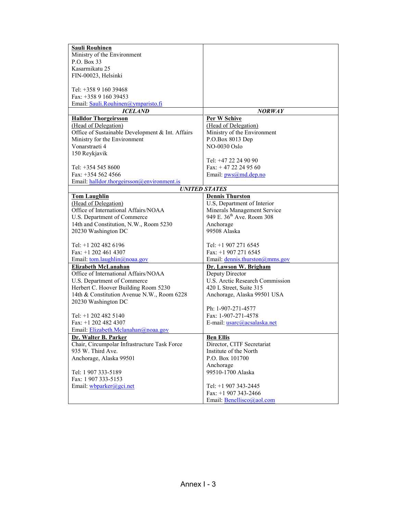| <b>Sauli Rouhinen</b>                            |                                       |
|--------------------------------------------------|---------------------------------------|
| Ministry of the Environment                      |                                       |
| P.O. Box 33                                      |                                       |
| Kasarmikatu 25                                   |                                       |
| FIN-00023, Helsinki                              |                                       |
|                                                  |                                       |
| Tel: +358 9 160 39468                            |                                       |
| Fax: +358 9 160 39453                            |                                       |
| Email: Sauli.Rouhinen@ymparisto.fi               |                                       |
| <b>ICELAND</b>                                   | <b>NORWAY</b>                         |
| <b>Halldor Thorgeirsson</b>                      | Per W Schive                          |
| (Head of Delegation)                             | (Head of Delegation)                  |
| Office of Sustainable Development & Int. Affairs | Ministry of the Environment           |
| Ministry for the Environment                     | P.O.Box 8013 Dep                      |
| Vonarstraeti 4                                   | <b>NO-0030 Oslo</b>                   |
| 150 Reykjavik                                    |                                       |
|                                                  | Tel: +47 22 24 90 90                  |
| Tel: +354 545 8600                               | Fax: $+4722249560$                    |
| Fax: $+354$ 562 4566                             | Email: $pws@md.dep.no$                |
| Email: halldor.thorgeirsson@environment.is       |                                       |
|                                                  | <b>UNITED STATES</b>                  |
| <b>Tom Laughlin</b>                              | <b>Dennis Thurston</b>                |
| (Head of Delegation)                             | U.S, Department of Interior           |
| Office of International Affairs/NOAA             | Minerals Management Service           |
| U.S. Department of Commerce                      | 949 E. 36 <sup>th</sup> Ave. Room 308 |
| 14th and Constitution, N.W., Room 5230           | Anchorage                             |
| 20230 Washington DC                              | 99508 Alaska                          |
|                                                  |                                       |
| Tel: +1 202 482 6196                             | Tel: $+1$ 907 271 6545                |
| Fax: $+1$ 202 461 4307                           | Fax: $+1$ 907 271 6545                |
| Email: tom.laughlin@noaa.gov                     | Email: <u>dennis.thurston@mms.gov</u> |
| <b>Elizabeth McLanahan</b>                       | Dr. Lawson W. Brigham                 |
| Office of International Affairs/NOAA             | Deputy Director                       |
| U.S. Department of Commerce                      | U.S. Arctic Research Commission       |
| Herbert C. Hoover Building Room 5230             | 420 L Street, Suite 315               |
| 14th & Constitution Avenue N.W., Room 6228       | Anchorage, Alaska 99501 USA           |
| 20230 Washington DC                              |                                       |
|                                                  | Ph: 1-907-271-4577                    |
| Tel: +1 202 482 5140                             | Fax: 1-907-271-4578                   |
| Fax: +1 202 482 4307                             | E-mail: usarc@acsalaska.net           |
| Email: Elizabeth.Mclanahan@noaa.gov              |                                       |
| Dr. Walter B. Parker                             | <b>Ben Ellis</b>                      |
| Chair, Circumpolar Infrastructure Task Force     | Director, CITF Secretariat            |
| 935 W. Third Ave.                                | Institute of the North                |
| Anchorage, Alaska 99501                          | P.O. Box 101700                       |
|                                                  | Anchorage                             |
| Tel: 1 907 333-5189                              | 99510-1700 Alaska                     |
| Fax: 1 907 333-5153                              |                                       |
|                                                  | Tel: +1 907 343-2445                  |
| Email: wbparker@gci.net                          | Fax: $+1$ 907 343-2466                |
|                                                  |                                       |
|                                                  | Email: Benellisco@aol.com             |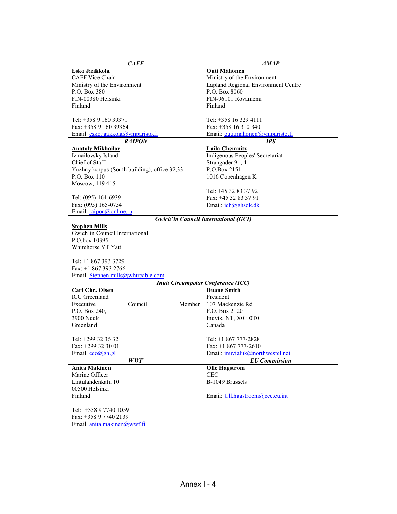| <b>CAFF</b>                                  | <b>AMAP</b>                                 |
|----------------------------------------------|---------------------------------------------|
| Esko Jaakkola                                | <b>Outi Mähönen</b>                         |
| <b>CAFF Vice Chair</b>                       | Ministry of the Environment                 |
| Ministry of the Environment                  | Lapland Regional Environment Centre         |
| P.O. Box 380                                 | P.O. Box 8060                               |
| FIN-00380 Helsinki                           | FIN-96101 Rovaniemi                         |
| Finland                                      | Finland                                     |
|                                              |                                             |
| Tel: +358 9 160 39371                        | Tel: +358 16 329 4111                       |
| Fax: +358 9 160 39364                        | Fax: +358 16 310 340                        |
| Email: esko.jaakkola@ymparisto.fi            | Email: outi.mahonen@ymparisto.fi            |
| <b>RAIPON</b>                                | <b>IPS</b>                                  |
| <b>Anatoly Mikhailov</b>                     | <b>Laila Chemnitz</b>                       |
| Izmailovsky Island                           | Indigenous Peoples' Secretariat             |
| Chief of Staff                               | Strangader 91, 4.                           |
| Yuzhny korpus (South building), office 32,33 | P.O.Box 2151                                |
| P.O. Box 110                                 | 1016 Copenhagen K                           |
| Moscow, 119 415                              |                                             |
|                                              | Tel: +45 32 83 37 92                        |
| Tel: (095) 164-6939                          | Fax: +45 32 83 37 91                        |
| Fax: (095) 165-0754                          | Email: <i>ich@ghsdk.dk</i>                  |
| Email: raipon@online.ru                      |                                             |
|                                              | <b>Gwich'in Council International (GCI)</b> |
| <b>Stephen Mills</b>                         |                                             |
| Gwich'in Council International               |                                             |
| P.O.box 10395                                |                                             |
| Whitehorse YT Yatt                           |                                             |
|                                              |                                             |
| Tel: +1 867 393 3729                         |                                             |
| Fax: +1 867 393 2766                         |                                             |
| Email: Stephen.mills@whtrcable.com           |                                             |
|                                              | <b>Inuit Circumpolar Conference (ICC)</b>   |
| <b>Carl Chr. Olsen</b>                       | <b>Duane Smith</b>                          |
| <b>ICC</b> Greenland                         | President                                   |
| Council<br>Executive<br>Member               | 107 Mackenzie Rd                            |
| P.O. Box 240,                                | P.O. Box 2120                               |
| 3900 Nuuk                                    | Inuvik, NT, X0E 0T0                         |
| Greenland                                    | Canada                                      |
|                                              |                                             |
| Tel: +299 32 36 32                           | Tel: +1 867 777-2828                        |
| Fax: +299 32 30 01                           | Fax: $+1867777-2610$                        |
| Email: cco@gh.gl                             | Email: inuvialuk@northwestel.net            |
| <b>WWF</b>                                   | <b>EU</b> Commission                        |
| <b>Anita Makinen</b>                         | <b>Olle Hagström</b>                        |
| Marine Officer                               | <b>CEC</b>                                  |
| Lintulahdenkatu 10                           | B-1049 Brussels                             |
| 00500 Helsinki                               |                                             |
| Finland                                      | Email: Ull.hagstroem@cec.eu.int             |
|                                              |                                             |
| Tel: +358 9 7740 1059                        |                                             |
| Fax: +358 9 7740 2139                        |                                             |
| Email: anita.makinen@wwf.fi                  |                                             |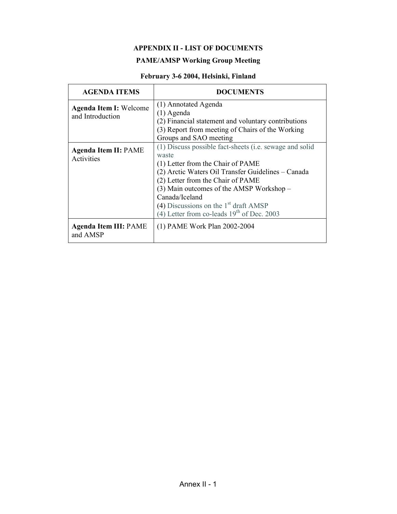#### **APPENDIX II - LIST OF DOCUMENTS**

### **PAME/AMSP Working Group Meeting**

### February 3-6 2004, Helsinki, Finland

| <b>AGENDA ITEMS</b>                               | <b>DOCUMENTS</b>                                                                                                                                                                                                                                                                                                                                            |  |  |
|---------------------------------------------------|-------------------------------------------------------------------------------------------------------------------------------------------------------------------------------------------------------------------------------------------------------------------------------------------------------------------------------------------------------------|--|--|
| <b>Agenda Item I: Welcome</b><br>and Introduction | (1) Annotated Agenda<br>$(1)$ Agenda<br>(2) Financial statement and voluntary contributions<br>(3) Report from meeting of Chairs of the Working<br>Groups and SAO meeting                                                                                                                                                                                   |  |  |
| <b>Agenda Item II: PAME</b><br>Activities         | (1) Discuss possible fact-sheets (i.e. sewage and solid<br>waste<br>(1) Letter from the Chair of PAME<br>(2) Arctic Waters Oil Transfer Guidelines – Canada<br>(2) Letter from the Chair of PAME<br>$(3)$ Main outcomes of the AMSP Workshop –<br>Canada/Iceland<br>(4) Discussions on the $1st$ draft AMSP<br>(4) Letter from co-leads $19th$ of Dec. 2003 |  |  |
| <b>Agenda Item III: PAME</b><br>and AMSP          | (1) PAME Work Plan 2002-2004                                                                                                                                                                                                                                                                                                                                |  |  |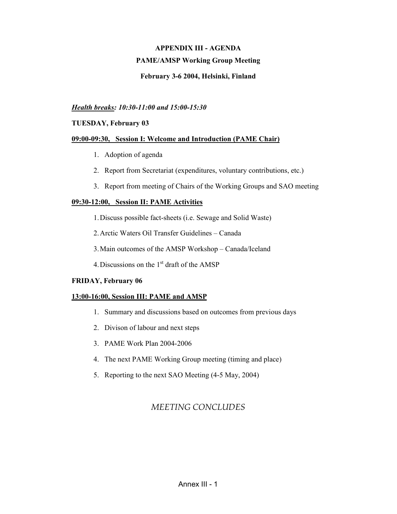### **APPENDIX III - AGENDA PAME/AMSP Working Group Meeting**

#### February 3-6 2004, Helsinki, Finland

#### Health breaks: 10:30-11:00 and 15:00-15:30

#### **TUESDAY, February 03**

#### 09:00-09:30, Session I: Welcome and Introduction (PAME Chair)

- 1. Adoption of agenda
- 2. Report from Secretariat (expenditures, voluntary contributions, etc.)
- 3. Report from meeting of Chairs of the Working Groups and SAO meeting

#### 09:30-12:00, Session II: PAME Activities

- 1. Discuss possible fact-sheets (i.e. Sewage and Solid Waste)
- 2. Arctic Waters Oil Transfer Guidelines Canada
- 3. Main outcomes of the AMSP Workshop Canada/Iceland
- 4. Discussions on the 1<sup>st</sup> draft of the AMSP

#### **FRIDAY, February 06**

#### 13:00-16:00, Session III: PAME and AMSP

- 1. Summary and discussions based on outcomes from previous days
- 2. Divison of labour and next steps
- 3. PAME Work Plan 2004-2006
- 4. The next PAME Working Group meeting (timing and place)
- 5. Reporting to the next SAO Meeting (4-5 May, 2004)

### **MEETING CONCLUDES**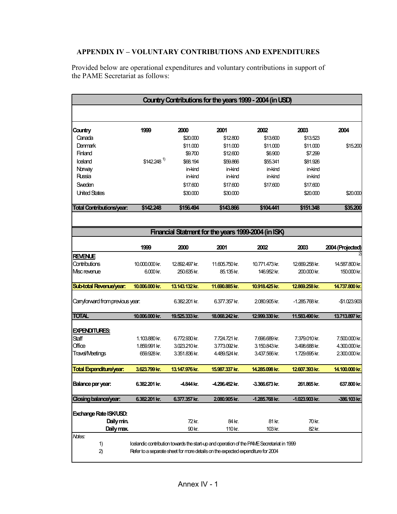### APPENDIX IV - VOLUNTARY CONTRIBUTIONS AND EXPENDITURES

Provided below are operational expenditures and voluntary contributions in support of the PAME Secretariat as follows:

| Country Contributions for the years 1999 - 2004 (in USD)                                        |                         |                |                                                                                 |                |                  |                  |
|-------------------------------------------------------------------------------------------------|-------------------------|----------------|---------------------------------------------------------------------------------|----------------|------------------|------------------|
|                                                                                                 |                         |                |                                                                                 |                |                  |                  |
| Country                                                                                         | 1999                    | 2000           | 2001                                                                            | 2002           | 2003             | 2004             |
| Canada                                                                                          |                         | \$20.000       | \$12.800                                                                        | \$13,600       | \$13.523         |                  |
| <b>Denmark</b>                                                                                  |                         | \$11.000       | \$11.000                                                                        | \$11.000       | \$11.000         | \$15.200         |
| Finland                                                                                         |                         | \$9.700        | \$12.600                                                                        | \$6.900        | \$7.299          |                  |
| loeland                                                                                         | \$142.248 <sup>1)</sup> | \$68.194       | \$59.866                                                                        | \$55.341       | \$81.926         |                  |
| Norway                                                                                          |                         | in-kind        | in-kind                                                                         | in-kind        | in-kind          |                  |
| Russia                                                                                          |                         | in-kind        | in-kind                                                                         | in-kind        | in-kind          |                  |
| Sweden                                                                                          |                         | \$17.600       | \$17.600                                                                        | \$17.600       | \$17.600         |                  |
| <b>United States</b>                                                                            |                         | \$30.000       | \$30.000                                                                        |                | \$20.000         | \$20.000         |
| <b>Total Contributions/year:</b>                                                                | \$142.248               | \$156.494      | \$143.866                                                                       | \$104.441      | \$151.348        | \$35.200         |
|                                                                                                 |                         |                | Financial Statment for the years 1999-2004 (in ISK)                             |                |                  |                  |
|                                                                                                 |                         |                |                                                                                 |                |                  |                  |
|                                                                                                 | 1999                    | 2000           | 2001                                                                            | 2002           | 2003             | 2004 (Projected) |
| <b>REVENUE</b>                                                                                  |                         |                |                                                                                 |                |                  |                  |
| Contributions                                                                                   | 10.000.000 kr.          | 12.892.497 kr. | 11.605.750 kr.                                                                  | 10.771.473 kr. | 12.669.258 kr.   | 14.587.800 kr.   |
| Msc revenue                                                                                     | 6.000 kr.               | 250.635 kr.    | 85.135 kr.                                                                      | 146.952 kr.    | 200.000 kr.      | 150.000 kr.      |
| <b>Sub-total Revenue/year:</b>                                                                  | 10.006.000 kr.          | 13.143.132 kr. | 11.690.885 kr.                                                                  | 10.918.425 kr. | 12.869.258 kr.   | 14.737.800 kr.   |
| Canyforward from previous year:                                                                 |                         | 6.382.201 kr.  | 6.377.357 kr.                                                                   | 2080.905 kr.   | -1.285.768 kr.   | -\$1.023.903     |
| <b>TOTAL</b>                                                                                    | 10.006.000 kr.          | 19.525.333 kr. | 18.068.242 kr.                                                                  | 12.999.330 kr. | 11.583.490 kr.   | 13.713.897 kr.   |
| <b>EXPENDITURES:</b>                                                                            |                         |                |                                                                                 |                |                  |                  |
| Staff                                                                                           | 1.103.880 kr.           | 6.772.930 kr.  | 7.724.721 kr.                                                                   | 7.696.689 kr.  | 7.379.010 kr.    | 7.500.000 kr.    |
| Office                                                                                          | 1.859.991 kr.           | 3.023.210 kr.  | 3.773.092 kr.                                                                   | 3.150.843 kr.  | 3.498.688 kr.    | 4.300.000 kr.    |
| <b>Travel/Meetings</b>                                                                          | 659.928 kr.             | 3.351.836 kr.  | 4.489.524 kr.                                                                   | 3.437.566 kr.  | 1.729.695 kr.    | 2.300.000 kr.    |
| <b>Total Expenditure/year:</b>                                                                  | 3.623.799 kr.           | 13.147.976 kr. | 15.987.337 kr.                                                                  | 14.285.098 kr. | 12.607.393 kr.   | 14.100.000 kr.   |
| Balance per year:                                                                               | 6.382.201 kr.           | -4.844 kr.     | -4.296.452 kr.                                                                  | -3.366.673 kr. | 261.865 kr.      | 637.800 kr.      |
| Closing balance/year:                                                                           | 6.382.201 kr.           | 6.377.357 kr.  | 2.080.905 kr.                                                                   | -1.285.768 kr. | $-1.023.903$ kr. | -386.103 kr.     |
| Exchange Rate ISK/USD:                                                                          |                         |                |                                                                                 |                |                  |                  |
| Daily min.<br>72 kr.<br>84 kr.<br>81 kr.<br>70 kr.                                              |                         |                |                                                                                 |                |                  |                  |
| Daily max.                                                                                      |                         | 90 kr.         | 110 kr.                                                                         | 103 kr.        | 82 kr.           |                  |
| Notes:                                                                                          |                         |                |                                                                                 |                |                  |                  |
| 1)<br>Icelandic contribution towards the start-up and operation of the PAVE Secretariat in 1999 |                         |                |                                                                                 |                |                  |                  |
| 2)                                                                                              |                         |                | Refer to a separate sheet for more details on the expected expenditure for 2004 |                |                  |                  |
|                                                                                                 |                         |                |                                                                                 |                |                  |                  |